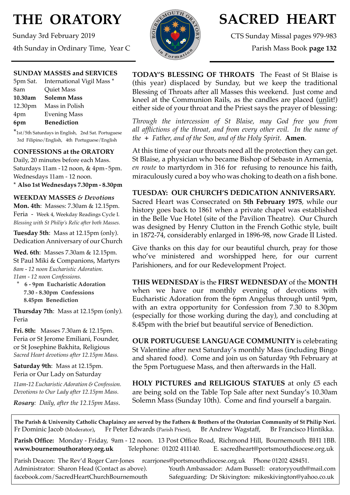# **THE ORATORY**

Sunday 3rd February 2019 4th Sunday in Ordinary Time, Year C



## **SACRED HEART**

CTS Sunday Missal pages 979-983

Parish Mass Book **page 132**

## **SUNDAY MASSES and SERVICES**

|         | 5pm Sat. International Vigil Mass * |
|---------|-------------------------------------|
| 8am     | Quiet Mass                          |
| 10.30am | <b>Solemn Mass</b>                  |
|         | 12.30pm Mass in Polish              |
| 4pm     | <b>Evening Mass</b>                 |
| 6pm     | <b>Benediction</b>                  |

\*1st/5th Saturdays in English, 2nd Sat. Portuguese 3rd Filipino/English, 4th Portuguese/English

### **CONFESSIONS at the ORATORY**

Daily, 20 minutes before each Mass. Saturdays 11am - 12 noon, & 4pm- 5pm. Wednesdays 11am - 12 noon.

**\* Also 1st Wednesdays 7.30pm - 8.30pm**

### **WEEKDAY MASSES** *& Devotions*

**Mon. 4th**: Masses: 7.30am & 12.15pm. Feria - Week 4, Weekday Readings Cycle I. *Blessing with St Philip's Relic after both Masses.*

**Tuesday 5th**: Mass at 12.15pm (only). Dedication Anniversary of our Church

**Wed. 6th**: Masses 7.30am & 12.15pm. St Paul Miki & Companions, Martyrs *8am - 12 noon Eucharistic Adoration. 11am - 12 noon Confessions.*

 **\* 6 - 9pm Eucharistic Adoration 7.30 - 8.30pm Confessions 8.45pm Benediction**

**Thursday 7th**: Mass at 12.15pm (only). Feria

**Fri. 8th:** Masses 7.30am & 12.15pm. Feria or St Jerome Emiliani, Founder, or St Josephine Bakhita, Religious *Sacred Heart devotions after 12.15pm Mass.*

**Saturday 9th**: Mass at 12.15pm. Feria or Our Lady on Saturday

*11am-12 Eucharistic Adoration & Confession. Devotions to Our Lady after 12.15pm Mass.*

*Rosary: Daily, after the 12.15pm Mass*.

**TODAY'S BLESSING OF THROATS** The Feast of St Blaise is (this year) displaced by Sunday, but we keep the traditional Blessing of Throats after all Masses this weekend. Just come and kneel at the Communion Rails, as the candles are placed (unlit!) either side of your throat and the Priest says the prayer of blessing:

*Through the intercession of St Blaise, may God free you from all afflictions of the throat, and from every other evil. In the name of the + Father, and of the Son, and of the Holy Spirit*. **Amen**.

At this time of year our throats need all the protection they can get. St Blaise, a physician who became Bishop of Sebaste in Armenia, *en route* to martyrdom in 316 for refusing to renounce his faith, miraculously cured a boy who was choking to death on a fish bone.

## **TUESDAY: OUR CHURCH'S DEDICATION ANNIVERSARY.**

Sacred Heart was Consecrated on **5th February 1975**, while our history goes back to 1861 when a private chapel was established in the Belle Vue Hotel (site of the Pavilion Theatre). Our Church was designed by Henry Clutton in the French Gothic style, built in 1872-74, considerably enlarged in 1896-98, now Grade II Listed.

Give thanks on this day for our beautiful church, pray for those who've ministered and worshipped here, for our current Parishioners, and for our Redevelopment Project.

**THIS WEDNESDAY** is the **FIRST WEDNESDAY** of the **MONTH**  when we have our monthly evening of devotions with Eucharistic Adoration from the 6pm Angelus through until 9pm, with an extra opportunity for Confession from 7.30 to 8.30pm (especially for those working during the day), and concluding at 8.45pm with the brief but beautiful service of Benediction.

**OUR PORTUGUESE LANGUAGE COMMUNITY** is celebrating St Valentine after next Saturday's monthly Mass (including Bingo and shared food). Come and join us on Saturday 9th February at the 5pm Portuguese Mass, and then afterwards in the Hall.

**HOLY PICTURES and RELIGIOUS STATUES** at only £5 each are being sold on the Table Top Sale after next Sunday's 10.30am Solemn Mass (Sunday 10th). Come and find yourself a bargain.

**The Parish & University Catholic Chaplaincy are served by the Fathers & Brothers of the Oratorian Community of St Philip Neri.** Fr Dominic Jacob (Moderator), Fr Peter Edwards (Parish Priest), Br Andrew Wagstaff, Br Francisco Hintikka.

**Parish Office:** Monday - Friday, 9am - 12 noon. 13 Post Office Road, Richmond Hill, Bournemouth BH1 1BB. **[www.bournemouthoratory.org.uk](http://www.bournemoithoratory.org.uk)** Telephone: 01202 411140. E. [sacredheart@portsmouthdiocese.org.uk](mailto:sacredheart@portsmouthdiocese.org.uk)

Parish Deacon: The Rev'd Roger Carr-Jones [rcarrjones@portsmouthdiocese.org.uk](mailto:rcarrjones@portsmouthdiocese.org.uk) Phone 01202 428451.

Administrator: Sharon Head (Contact as above). Youth Ambassador: Adam Bussell: [oratoryyouth@mail.com](http://oratoryyouth.mail.com) [facebook.com/SacredHeartChurchBournemouth](http://facebook.com/SaccredHeartChurchBournemouth) Safeguarding: Dr Skivington: mikeskivington@yahoo.co.uk